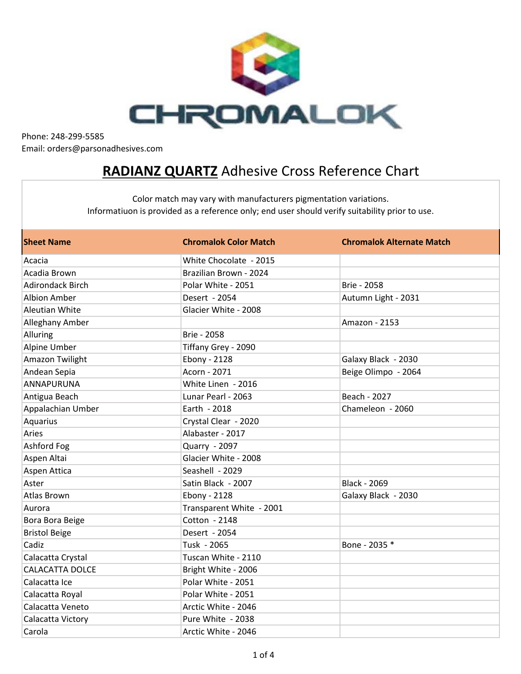

## **RADIANZ QUARTZ** Adhesive Cross Reference Chart

| <b>Sheet Name</b>       | <b>Chromalok Color Match</b> | <b>Chromalok Alternate Match</b> |
|-------------------------|------------------------------|----------------------------------|
| Acacia                  | White Chocolate - 2015       |                                  |
| Acadia Brown            | Brazilian Brown - 2024       |                                  |
| <b>Adirondack Birch</b> | Polar White - 2051           | Brie - 2058                      |
| <b>Albion Amber</b>     | Desert - 2054                | Autumn Light - 2031              |
| <b>Aleutian White</b>   | Glacier White - 2008         |                                  |
| Alleghany Amber         |                              | Amazon - 2153                    |
| Alluring                | Brie - 2058                  |                                  |
| Alpine Umber            | Tiffany Grey - 2090          |                                  |
| Amazon Twilight         | Ebony - 2128                 | Galaxy Black - 2030              |
| Andean Sepia            | Acorn - 2071                 | Beige Olimpo - 2064              |
| <b>ANNAPURUNA</b>       | White Linen - 2016           |                                  |
| Antigua Beach           | Lunar Pearl - 2063           | Beach - 2027                     |
| Appalachian Umber       | Earth - 2018                 | Chameleon - 2060                 |
| Aquarius                | Crystal Clear - 2020         |                                  |
| Aries                   | Alabaster - 2017             |                                  |
| Ashford Fog             | Quarry - 2097                |                                  |
| Aspen Altai             | Glacier White - 2008         |                                  |
| Aspen Attica            | Seashell - 2029              |                                  |
| Aster                   | Satin Black - 2007           | <b>Black - 2069</b>              |
| <b>Atlas Brown</b>      | Ebony - 2128                 | Galaxy Black - 2030              |
| Aurora                  | Transparent White - 2001     |                                  |
| Bora Bora Beige         | Cotton - 2148                |                                  |
| <b>Bristol Beige</b>    | Desert - 2054                |                                  |
| Cadiz                   | Tusk - 2065                  | Bone - 2035 *                    |
| Calacatta Crystal       | Tuscan White - 2110          |                                  |
| <b>CALACATTA DOLCE</b>  | Bright White - 2006          |                                  |
| Calacatta Ice           | Polar White - 2051           |                                  |
| Calacatta Royal         | Polar White - 2051           |                                  |
| Calacatta Veneto        | Arctic White - 2046          |                                  |
| Calacatta Victory       | Pure White - 2038            |                                  |
| Carola                  | Arctic White - 2046          |                                  |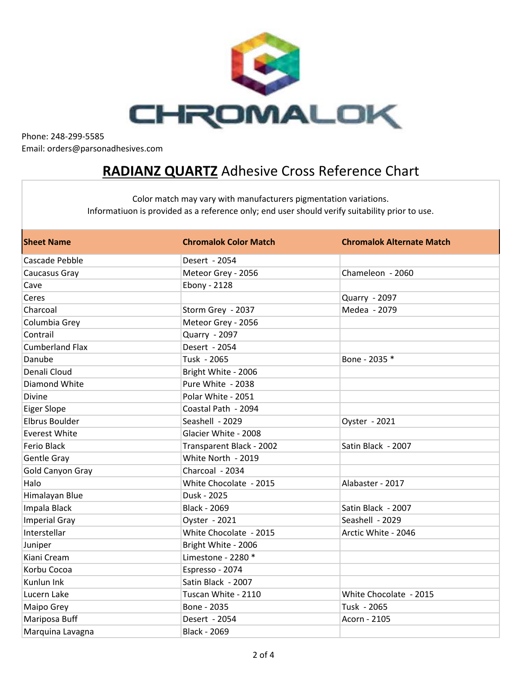

## **RADIANZ QUARTZ** Adhesive Cross Reference Chart

| <b>Sheet Name</b>      | <b>Chromalok Color Match</b> | <b>Chromalok Alternate Match</b> |
|------------------------|------------------------------|----------------------------------|
| Cascade Pebble         | Desert - 2054                |                                  |
| Caucasus Gray          | Meteor Grey - 2056           | Chameleon - 2060                 |
| Cave                   | Ebony - 2128                 |                                  |
| Ceres                  |                              | Quarry - 2097                    |
| Charcoal               | Storm Grey - 2037            | Medea - 2079                     |
| Columbia Grey          | Meteor Grey - 2056           |                                  |
| Contrail               | Quarry - 2097                |                                  |
| <b>Cumberland Flax</b> | Desert - 2054                |                                  |
| Danube                 | Tusk - 2065                  | Bone - 2035 *                    |
| Denali Cloud           | Bright White - 2006          |                                  |
| Diamond White          | Pure White - 2038            |                                  |
| Divine                 | Polar White - 2051           |                                  |
| <b>Eiger Slope</b>     | Coastal Path - 2094          |                                  |
| <b>Elbrus Boulder</b>  | Seashell - 2029              | Oyster - 2021                    |
| <b>Everest White</b>   | Glacier White - 2008         |                                  |
| <b>Ferio Black</b>     | Transparent Black - 2002     | Satin Black - 2007               |
| Gentle Gray            | White North - 2019           |                                  |
| Gold Canyon Gray       | Charcoal - 2034              |                                  |
| Halo                   | White Chocolate - 2015       | Alabaster - 2017                 |
| Himalayan Blue         | Dusk - 2025                  |                                  |
| Impala Black           | <b>Black - 2069</b>          | Satin Black - 2007               |
| <b>Imperial Gray</b>   | Oyster - 2021                | Seashell - 2029                  |
| Interstellar           | White Chocolate - 2015       | Arctic White - 2046              |
| Juniper                | Bright White - 2006          |                                  |
| Kiani Cream            | Limestone - 2280 *           |                                  |
| Korbu Cocoa            | Espresso - 2074              |                                  |
| Kunlun Ink             | Satin Black - 2007           |                                  |
| Lucern Lake            | Tuscan White - 2110          | White Chocolate - 2015           |
| Maipo Grey             | Bone - 2035                  | Tusk - 2065                      |
| Mariposa Buff          | Desert - 2054                | Acorn - 2105                     |
| Marquina Lavagna       | Black - 2069                 |                                  |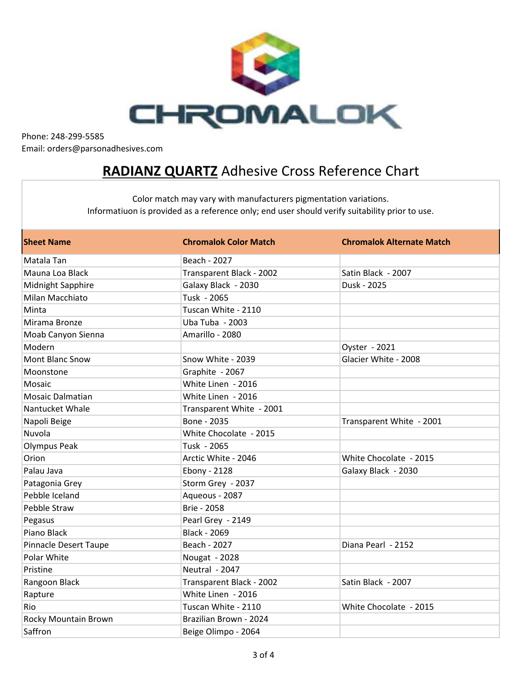

## **RADIANZ QUARTZ** Adhesive Cross Reference Chart

| <b>Sheet Name</b>            | <b>Chromalok Color Match</b> | <b>Chromalok Alternate Match</b> |
|------------------------------|------------------------------|----------------------------------|
| Matala Tan                   | Beach - 2027                 |                                  |
| Mauna Loa Black              | Transparent Black - 2002     | Satin Black - 2007               |
| Midnight Sapphire            | Galaxy Black - 2030          | Dusk - 2025                      |
| Milan Macchiato              | Tusk - 2065                  |                                  |
| Minta                        | Tuscan White - 2110          |                                  |
| Mirama Bronze                | Uba Tuba - 2003              |                                  |
| Moab Canyon Sienna           | Amarillo - 2080              |                                  |
| Modern                       |                              | Oyster - 2021                    |
| <b>Mont Blanc Snow</b>       | Snow White - 2039            | Glacier White - 2008             |
| Moonstone                    | Graphite - 2067              |                                  |
| Mosaic                       | White Linen - 2016           |                                  |
| <b>Mosaic Dalmatian</b>      | White Linen - 2016           |                                  |
| Nantucket Whale              | Transparent White - 2001     |                                  |
| Napoli Beige                 | Bone - 2035                  | Transparent White - 2001         |
| Nuvola                       | White Chocolate - 2015       |                                  |
| <b>Olympus Peak</b>          | Tusk - 2065                  |                                  |
| Orion                        | Arctic White - 2046          | White Chocolate - 2015           |
| Palau Java                   | Ebony - 2128                 | Galaxy Black - 2030              |
| Patagonia Grey               | Storm Grey - 2037            |                                  |
| Pebble Iceland               | Aqueous - 2087               |                                  |
| Pebble Straw                 | <b>Brie - 2058</b>           |                                  |
| Pegasus                      | Pearl Grey - 2149            |                                  |
| Piano Black                  | <b>Black - 2069</b>          |                                  |
| <b>Pinnacle Desert Taupe</b> | Beach - 2027                 | Diana Pearl - 2152               |
| Polar White                  | Nougat - 2028                |                                  |
| Pristine                     | Neutral - 2047               |                                  |
| Rangoon Black                | Transparent Black - 2002     | Satin Black - 2007               |
| Rapture                      | White Linen - 2016           |                                  |
| Rio                          | Tuscan White - 2110          | White Chocolate - 2015           |
| Rocky Mountain Brown         | Brazilian Brown - 2024       |                                  |
| Saffron                      | Beige Olimpo - 2064          |                                  |